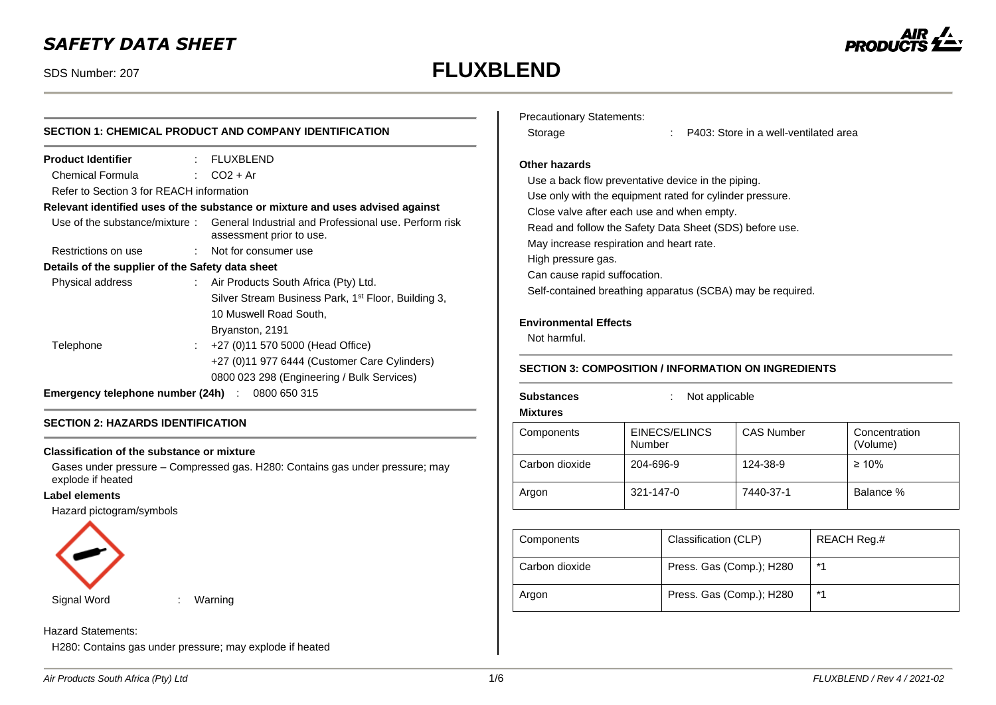# *SAFETY DATA SHEET*

# SDS Number: 207 **FLUXBLEND**



# **SECTION 1: CHEMICAL PRODUCT AND COMPANY IDENTIFICATION**

| <b>Product Identifier</b>                                         | : FLUXBLEND                                                                                                     |  |  |  |
|-------------------------------------------------------------------|-----------------------------------------------------------------------------------------------------------------|--|--|--|
| Chemical Formula                                                  | $CO2 + Ar$                                                                                                      |  |  |  |
| Refer to Section 3 for REACH information                          |                                                                                                                 |  |  |  |
|                                                                   | Relevant identified uses of the substance or mixture and uses advised against                                   |  |  |  |
|                                                                   | Use of the substance/mixture: General Industrial and Professional use. Perform risk<br>assessment prior to use. |  |  |  |
| Restrictions on use                                               | : Not for consumer use                                                                                          |  |  |  |
| Details of the supplier of the Safety data sheet                  |                                                                                                                 |  |  |  |
| Physical address                                                  | : Air Products South Africa (Pty) Ltd.                                                                          |  |  |  |
|                                                                   | Silver Stream Business Park, 1 <sup>st</sup> Floor, Building 3,                                                 |  |  |  |
|                                                                   | 10 Muswell Road South,                                                                                          |  |  |  |
|                                                                   | Bryanston, 2191                                                                                                 |  |  |  |
| Telephone                                                         | +27 (0)11 570 5000 (Head Office)                                                                                |  |  |  |
|                                                                   | +27 (0)11 977 6444 (Customer Care Cylinders)                                                                    |  |  |  |
|                                                                   | 0800 023 298 (Engineering / Bulk Services)                                                                      |  |  |  |
| <b>Emergency telephone number (24h)</b> $\therefore$ 0800 650 315 |                                                                                                                 |  |  |  |

# **SECTION 2: HAZARDS IDENTIFICATION**

#### **Classification of the substance or mixture**

Gases under pressure – Compressed gas. H280: Contains gas under pressure; may explode if heated

#### **Label elements**

Hazard pictogram/symbols



Signal Word : Warning

#### Hazard Statements:

H280: Contains gas under pressure; may explode if heated

# Precautionary Statements:

: P403: Store in a well-ventilated area

#### **Other hazards**

Use a back flow preventative device in the piping. Use only with the equipment rated for cylinder pressure. Close valve after each use and when empty. Read and follow the Safety Data Sheet (SDS) before use. May increase respiration and heart rate. High pressure gas. Can cause rapid suffocation. Self-contained breathing apparatus (SCBA) may be required.

# **Environmental Effects**

Not harmful.

# **SECTION 3: COMPOSITION / INFORMATION ON INGREDIENTS**

**Substances** : Not applicable

| <b>Mixtures</b> |                         |                   |                           |
|-----------------|-------------------------|-------------------|---------------------------|
| Components      | EINECS/ELINCS<br>Number | <b>CAS Number</b> | Concentration<br>(Volume) |

|                | Number    |           | (Volume)  |
|----------------|-----------|-----------|-----------|
| Carbon dioxide | 204-696-9 | 124-38-9  | ≥ 10%     |
| Argon          | 321-147-0 | 7440-37-1 | Balance % |

| Components     | Classification (CLP)     | REACH Reg.# |
|----------------|--------------------------|-------------|
| Carbon dioxide | Press. Gas (Comp.); H280 | $*4$        |
| Argon          | Press. Gas (Comp.); H280 | $*4$        |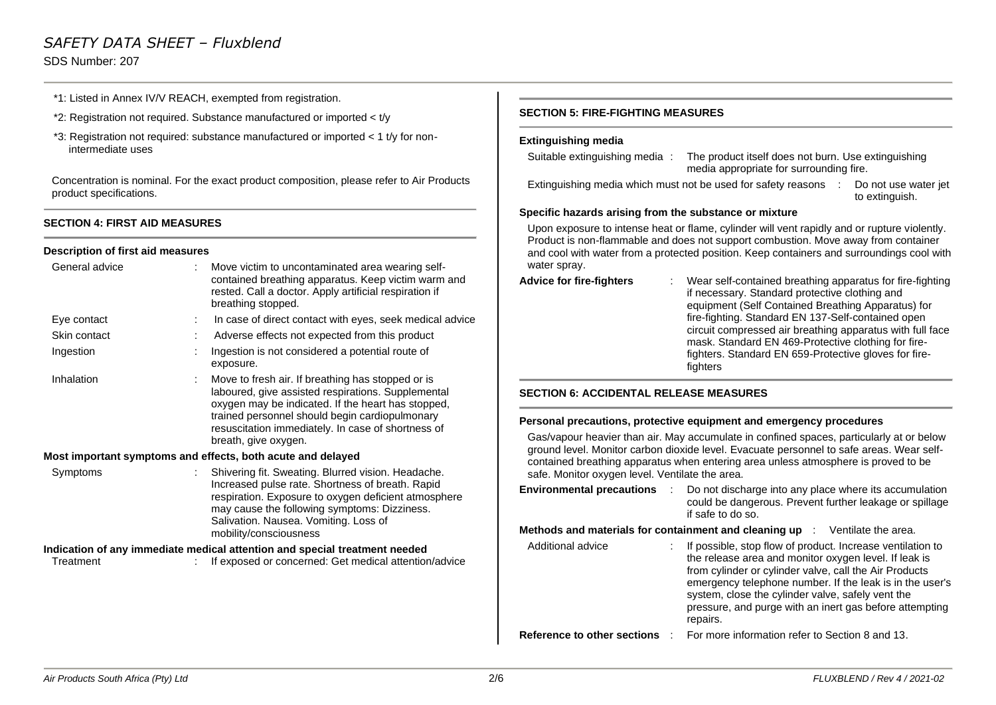# *SAFETY DATA SHEET – Fluxblend* SDS Number: 207

- \*1: Listed in Annex IV/V REACH, exempted from registration.
- \*2: Registration not required. Substance manufactured or imported < t/y
- \*3: Registration not required: substance manufactured or imported < 1 t/y for nonintermediate uses

Concentration is nominal. For the exact product composition, please refer to Air Products product specifications.

#### **SECTION 4: FIRST AID MEASURES**

#### **Description of first aid measures**

|                                                             | Move victim to uncontaminated area wearing self-<br>contained breathing apparatus. Keep victim warm and<br>rested. Call a doctor. Apply artificial respiration if<br>breathing stopped.                                                                                                       |  |  |  |
|-------------------------------------------------------------|-----------------------------------------------------------------------------------------------------------------------------------------------------------------------------------------------------------------------------------------------------------------------------------------------|--|--|--|
| ÷                                                           | In case of direct contact with eyes, seek medical advice                                                                                                                                                                                                                                      |  |  |  |
| ÷                                                           | Adverse effects not expected from this product                                                                                                                                                                                                                                                |  |  |  |
|                                                             | Ingestion is not considered a potential route of<br>exposure.                                                                                                                                                                                                                                 |  |  |  |
|                                                             | Move to fresh air. If breathing has stopped or is<br>laboured, give assisted respirations. Supplemental<br>oxygen may be indicated. If the heart has stopped,<br>trained personnel should begin cardiopulmonary<br>resuscitation immediately. In case of shortness of<br>breath, give oxygen. |  |  |  |
| Most important symptoms and effects, both acute and delayed |                                                                                                                                                                                                                                                                                               |  |  |  |
| ÷.                                                          | Shivering fit. Sweating. Blurred vision. Headache.<br>Increased pulse rate. Shortness of breath. Rapid<br>respiration. Exposure to oxygen deficient atmosphere<br>may cause the following symptoms: Dizziness.<br>Salivation. Nausea. Vomiting. Loss of<br>mobility/consciousness             |  |  |  |
|                                                             | Indication of any immediate medical attention and special treatment needed                                                                                                                                                                                                                    |  |  |  |
|                                                             | If exposed or concerned: Get medical attention/advice                                                                                                                                                                                                                                         |  |  |  |
|                                                             |                                                                                                                                                                                                                                                                                               |  |  |  |
|                                                             |                                                                                                                                                                                                                                                                                               |  |  |  |

#### **SECTION 5: FIRE-FIGHTING MEASURES**

#### **Extinguishing media**

| Suitable extinguishing media: | The product itself does not burn. Use extinguishing |
|-------------------------------|-----------------------------------------------------|
|                               | media appropriate for surrounding fire.             |

Extinguishing media which must not be used for safety reasons : Do not use water jet to extinguish.

#### **Specific hazards arising from the substance or mixture**

Upon exposure to intense heat or flame, cylinder will vent rapidly and or rupture violently. Product is non-flammable and does not support combustion. Move away from container and cool with water from a protected position. Keep containers and surroundings cool with water spray.

#### **SECTION 6: ACCIDENTAL RELEASE MEASURES**

#### **Personal precautions, protective equipment and emergency procedures**

Gas/vapour heavier than air. May accumulate in confined spaces, particularly at or below ground level. Monitor carbon dioxide level. Evacuate personnel to safe areas. Wear selfcontained breathing apparatus when entering area unless atmosphere is proved to be safe. Monitor oxygen level. Ventilate the area.

| <b>Environmental precautions</b> |  |                   |  | Do not discharge into any place where its accumulation  |
|----------------------------------|--|-------------------|--|---------------------------------------------------------|
|                                  |  | if safe to do so. |  | could be dangerous. Prevent further leakage or spillage |
| -- -                             |  |                   |  |                                                         |

```
Methods and materials for containment and cleaning up : Ventilate the area.
```
Additional advice : If possible, stop flow of product. Increase ventilation to the release area and monitor oxygen level. If leak is from cylinder or cylinder valve, call the Air Products emergency telephone number. If the leak is in the user's system, close the cylinder valve, safely vent the pressure, and purge with an inert gas before attempting repairs.

**Reference to other sections** : For more information refer to Section 8 and 13.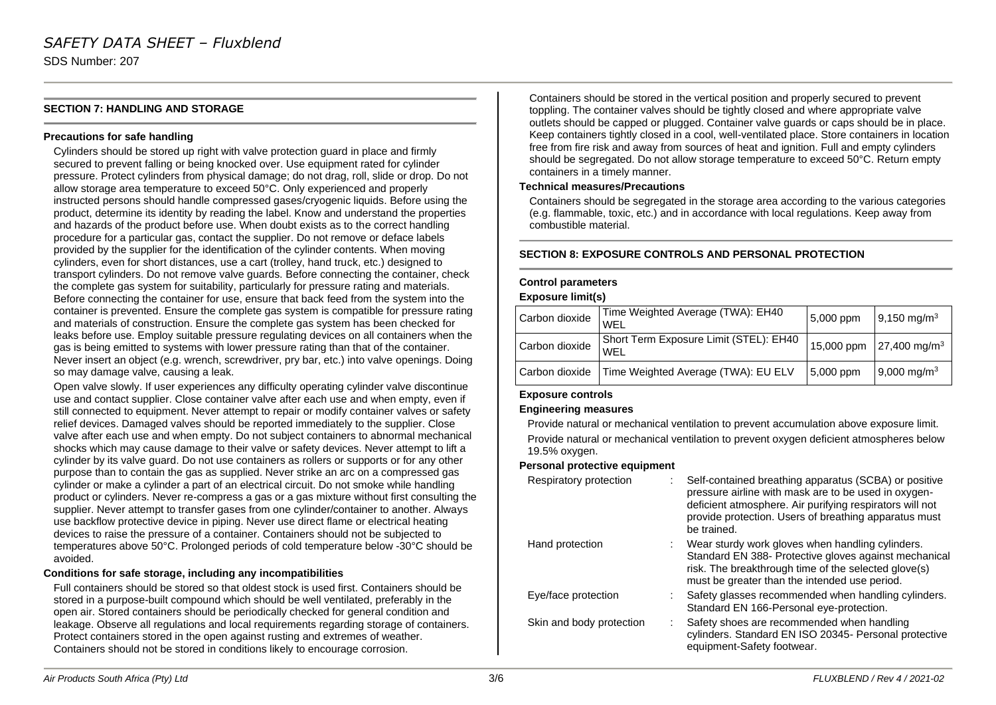#### **SECTION 7: HANDLING AND STORAGE**

#### **Precautions for safe handling**

Cylinders should be stored up right with valve protection guard in place and firmly secured to prevent falling or being knocked over. Use equipment rated for cylinder pressure. Protect cylinders from physical damage; do not drag, roll, slide or drop. Do not allow storage area temperature to exceed 50°C. Only experienced and properly instructed persons should handle compressed gases/cryogenic liquids. Before using the product, determine its identity by reading the label. Know and understand the properties and hazards of the product before use. When doubt exists as to the correct handling procedure for a particular gas, contact the supplier. Do not remove or deface labels provided by the supplier for the identification of the cylinder contents. When moving cylinders, even for short distances, use a cart (trolley, hand truck, etc.) designed to transport cylinders. Do not remove valve guards. Before connecting the container, check the complete gas system for suitability, particularly for pressure rating and materials. Before connecting the container for use, ensure that back feed from the system into the container is prevented. Ensure the complete gas system is compatible for pressure rating and materials of construction. Ensure the complete gas system has been checked for leaks before use. Employ suitable pressure regulating devices on all containers when the gas is being emitted to systems with lower pressure rating than that of the container. Never insert an object (e.g. wrench, screwdriver, pry bar, etc.) into valve openings. Doing so may damage valve, causing a leak.

Open valve slowly. If user experiences any difficulty operating cylinder valve discontinue use and contact supplier. Close container valve after each use and when empty, even if still connected to equipment. Never attempt to repair or modify container valves or safety relief devices. Damaged valves should be reported immediately to the supplier. Close valve after each use and when empty. Do not subject containers to abnormal mechanical shocks which may cause damage to their valve or safety devices. Never attempt to lift a cylinder by its valve guard. Do not use containers as rollers or supports or for any other purpose than to contain the gas as supplied. Never strike an arc on a compressed gas cylinder or make a cylinder a part of an electrical circuit. Do not smoke while handling product or cylinders. Never re-compress a gas or a gas mixture without first consulting the supplier. Never attempt to transfer gases from one cylinder/container to another. Always use backflow protective device in piping. Never use direct flame or electrical heating devices to raise the pressure of a container. Containers should not be subjected to temperatures above 50°C. Prolonged periods of cold temperature below -30°C should be avoided.

#### **Conditions for safe storage, including any incompatibilities**

Full containers should be stored so that oldest stock is used first. Containers should be stored in a purpose-built compound which should be well ventilated, preferably in the open air. Stored containers should be periodically checked for general condition and leakage. Observe all regulations and local requirements regarding storage of containers. Protect containers stored in the open against rusting and extremes of weather. Containers should not be stored in conditions likely to encourage corrosion.

Containers should be stored in the vertical position and properly secured to prevent toppling. The container valves should be tightly closed and where appropriate valve outlets should be capped or plugged. Container valve guards or caps should be in place. Keep containers tightly closed in a cool, well-ventilated place. Store containers in location free from fire risk and away from sources of heat and ignition. Full and empty cylinders should be segregated. Do not allow storage temperature to exceed 50°C. Return empty containers in a timely manner.

#### **Technical measures/Precautions**

Containers should be segregated in the storage area according to the various categories (e.g. flammable, toxic, etc.) and in accordance with local regulations. Keep away from combustible material.

#### **SECTION 8: EXPOSURE CONTROLS AND PERSONAL PROTECTION**

#### **Control parameters**

#### **Exposure limit(s)**

| Carbon dioxide | Time Weighted Average (TWA): EH40<br>WFL      | 5,000 ppm   | $9,150 \text{ mg/m}^3$              |
|----------------|-----------------------------------------------|-------------|-------------------------------------|
| Carbon dioxide | Short Term Exposure Limit (STEL): EH40<br>WFL |             | 15,000 ppm 27,400 mg/m <sup>3</sup> |
| Carbon dioxide | Time Weighted Average (TWA): EU ELV           | $5,000$ ppm | 9,000 mg/m <sup>3</sup>             |

#### **Exposure controls**

#### **Engineering measures**

Provide natural or mechanical ventilation to prevent accumulation above exposure limit. Provide natural or mechanical ventilation to prevent oxygen deficient atmospheres below 19.5% oxygen.

#### **Personal protective equipment**

| Respiratory protection   | Self-contained breathing apparatus (SCBA) or positive<br>pressure airline with mask are to be used in oxygen-<br>deficient atmosphere. Air purifying respirators will not<br>provide protection. Users of breathing apparatus must |
|--------------------------|------------------------------------------------------------------------------------------------------------------------------------------------------------------------------------------------------------------------------------|
|                          | be trained.                                                                                                                                                                                                                        |
| Hand protection          | : Wear sturdy work gloves when handling cylinders.<br>Standard EN 388- Protective gloves against mechanical<br>risk. The breakthrough time of the selected glove(s)<br>must be greater than the intended use period.               |
| Eye/face protection      | : Safety glasses recommended when handling cylinders.<br>Standard EN 166-Personal eye-protection.                                                                                                                                  |
| Skin and body protection | Safety shoes are recommended when handling<br>cylinders. Standard EN ISO 20345- Personal protective<br>equipment-Safety footwear.                                                                                                  |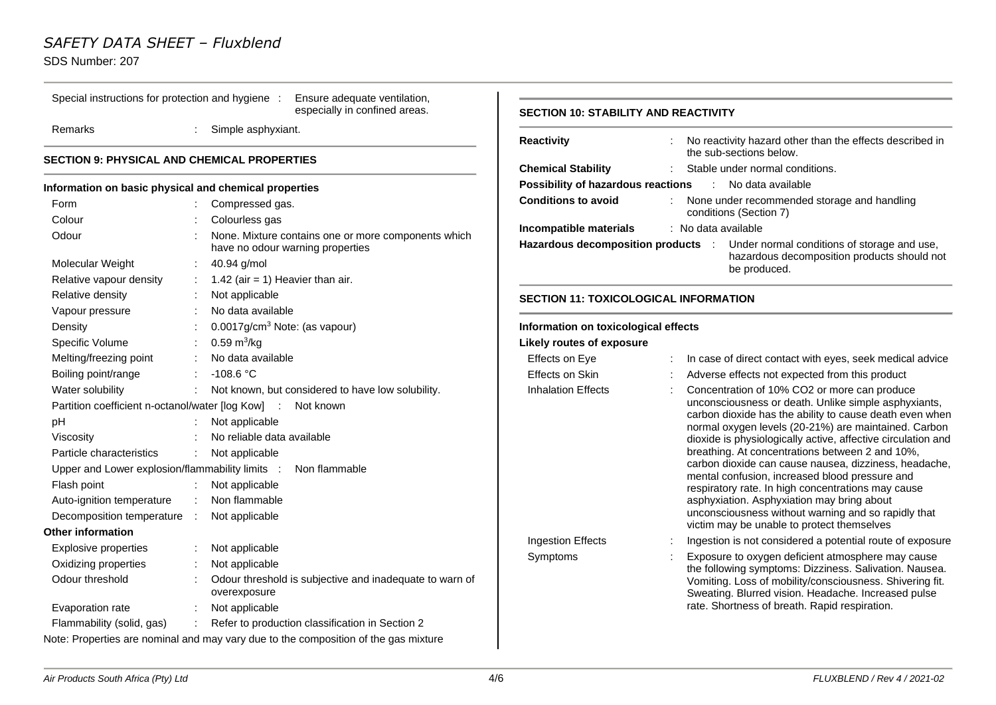# *SAFETY DATA SHEET – Fluxblend*

SDS Number: 207

# Special instructions for protection and hygiene : Ensure adequate ventilation,

especially in confined areas.

Remarks : Simple asphyxiant.

## **SECTION 9: PHYSICAL AND CHEMICAL PROPERTIES**

#### **Information on basic physical and chemical properties**

| Form                      |                           | Compressed gas.                                                                         |
|---------------------------|---------------------------|-----------------------------------------------------------------------------------------|
| Colour                    |                           | Colourless gas                                                                          |
| Odour                     |                           | None. Mixture contains one or more components which<br>have no odour warning properties |
| Molecular Weight          | ÷                         | 40.94 g/mol                                                                             |
| Relative vapour density   | ÷                         | 1.42 (air = 1) Heavier than air.                                                        |
| Relative density          |                           | Not applicable                                                                          |
| Vapour pressure           |                           | No data available                                                                       |
| Density                   |                           | 0.0017g/cm <sup>3</sup> Note: (as vapour)                                               |
| Specific Volume           |                           | $0.59 \text{ m}^3/\text{kg}$                                                            |
| Melting/freezing point    |                           | No data available                                                                       |
| Boiling point/range       |                           | $-108.6 °C$                                                                             |
| Water solubility          | ÷                         | Not known, but considered to have low solubility.                                       |
|                           |                           | Partition coefficient n-octanol/water [log Kow] : Not known                             |
| рH                        |                           | Not applicable                                                                          |
| Viscosity                 |                           | No reliable data available                                                              |
| Particle characteristics  |                           | Not applicable                                                                          |
|                           |                           | Upper and Lower explosion/flammability limits : Non flammable                           |
| Flash point               |                           | Not applicable                                                                          |
| Auto-ignition temperature |                           | : Non flammable                                                                         |
| Decomposition temperature | $\mathbb{R}^{\mathbb{Z}}$ | Not applicable                                                                          |
| <b>Other information</b>  |                           |                                                                                         |
| Explosive properties      |                           | Not applicable                                                                          |
| Oxidizing properties      |                           | Not applicable                                                                          |
| Odour threshold           |                           | Odour threshold is subjective and inadequate to warn of<br>overexposure                 |
| Evaporation rate          |                           | Not applicable                                                                          |
| Flammability (solid, gas) | ÷                         | Refer to production classification in Section 2                                         |
|                           |                           | Note: Properties are nominal and may vary due to the composition of the gas mixture     |

#### **SECTION 10: STABILITY AND REACTIVITY**

| <b>Reactivity</b>                            | No reactivity hazard other than the effects described in<br>the sub-sections below.                                                                                                                                                                                                                                                                                                                                                                                                                                                                                                                                                                            |
|----------------------------------------------|----------------------------------------------------------------------------------------------------------------------------------------------------------------------------------------------------------------------------------------------------------------------------------------------------------------------------------------------------------------------------------------------------------------------------------------------------------------------------------------------------------------------------------------------------------------------------------------------------------------------------------------------------------------|
| <b>Chemical Stability</b>                    | Stable under normal conditions.                                                                                                                                                                                                                                                                                                                                                                                                                                                                                                                                                                                                                                |
| Possibility of hazardous reactions           | ÷<br>No data available                                                                                                                                                                                                                                                                                                                                                                                                                                                                                                                                                                                                                                         |
| <b>Conditions to avoid</b>                   | None under recommended storage and handling<br>conditions (Section 7)                                                                                                                                                                                                                                                                                                                                                                                                                                                                                                                                                                                          |
| Incompatible materials                       | : No data available                                                                                                                                                                                                                                                                                                                                                                                                                                                                                                                                                                                                                                            |
| Hazardous decomposition products :           | Under normal conditions of storage and use,<br>hazardous decomposition products should not<br>be produced.                                                                                                                                                                                                                                                                                                                                                                                                                                                                                                                                                     |
| <b>SECTION 11: TOXICOLOGICAL INFORMATION</b> |                                                                                                                                                                                                                                                                                                                                                                                                                                                                                                                                                                                                                                                                |
| Information on toxicological effects         |                                                                                                                                                                                                                                                                                                                                                                                                                                                                                                                                                                                                                                                                |
| Likely routes of exposure                    |                                                                                                                                                                                                                                                                                                                                                                                                                                                                                                                                                                                                                                                                |
| Effects on Eye                               | In case of direct contact with eyes, seek medical advice                                                                                                                                                                                                                                                                                                                                                                                                                                                                                                                                                                                                       |
| Effects on Skin                              | Adverse effects not expected from this product                                                                                                                                                                                                                                                                                                                                                                                                                                                                                                                                                                                                                 |
| <b>Inhalation Effects</b>                    | Concentration of 10% CO2 or more can produce<br>unconsciousness or death. Unlike simple asphyxiants,<br>carbon dioxide has the ability to cause death even when<br>normal oxygen levels (20-21%) are maintained. Carbon<br>dioxide is physiologically active, affective circulation and<br>breathing. At concentrations between 2 and 10%,<br>carbon dioxide can cause nausea, dizziness, headache,<br>mental confusion, increased blood pressure and<br>respiratory rate. In high concentrations may cause<br>asphyxiation. Asphyxiation may bring about<br>unconsciousness without warning and so rapidly that<br>victim may be unable to protect themselves |
| Ingestion Effects                            | Ingestion is not considered a potential route of exposure                                                                                                                                                                                                                                                                                                                                                                                                                                                                                                                                                                                                      |
| Symptoms                                     | Exposure to oxygen deficient atmosphere may cause<br>the following symptoms: Dizziness. Salivation. Nausea.<br>Vomiting. Loss of mobility/consciousness. Shivering fit.<br>Sweating. Blurred vision. Headache. Increased pulse<br>rate. Shortness of breath. Rapid respiration.                                                                                                                                                                                                                                                                                                                                                                                |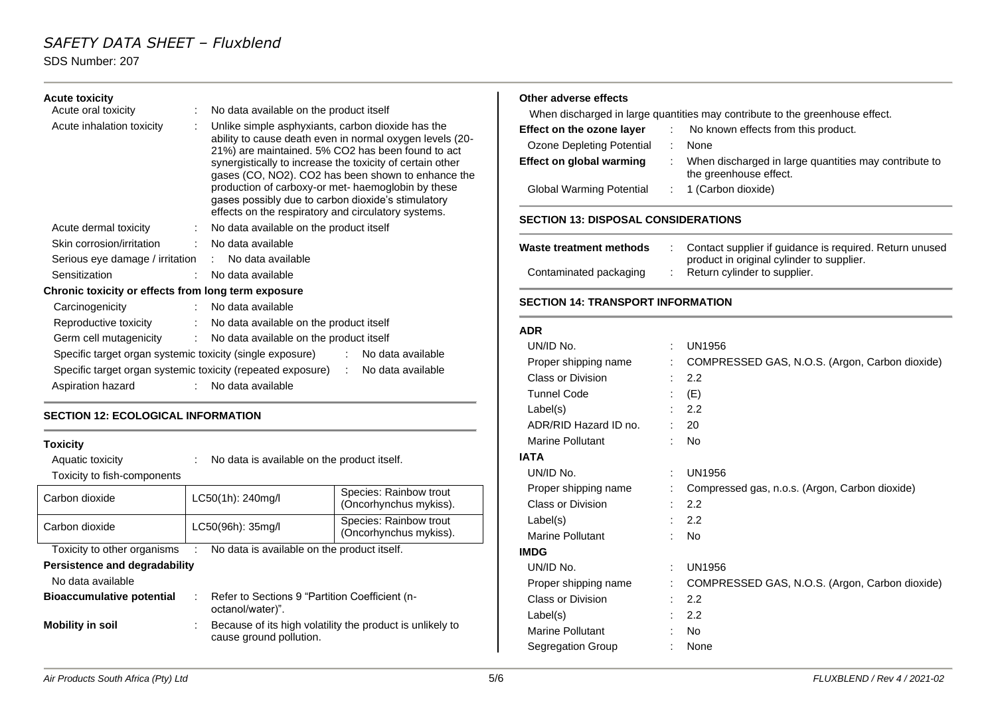# *SAFETY DATA SHEET – Fluxblend*

#### **Acute toxicity**

| Acute oral toxicity                                                                | No data available on the product itself                                                                                                                                                                                                                                                                                                                                                                                                                  |  |  |
|------------------------------------------------------------------------------------|----------------------------------------------------------------------------------------------------------------------------------------------------------------------------------------------------------------------------------------------------------------------------------------------------------------------------------------------------------------------------------------------------------------------------------------------------------|--|--|
| Acute inhalation toxicity                                                          | Unlike simple asphyxiants, carbon dioxide has the<br>ability to cause death even in normal oxygen levels (20-<br>21%) are maintained. 5% CO2 has been found to act<br>synergistically to increase the toxicity of certain other<br>gases (CO, NO2). CO2 has been shown to enhance the<br>production of carboxy-or met- haemoglobin by these<br>gases possibly due to carbon dioxide's stimulatory<br>effects on the respiratory and circulatory systems. |  |  |
| Acute dermal toxicity                                                              | No data available on the product itself                                                                                                                                                                                                                                                                                                                                                                                                                  |  |  |
| Skin corrosion/irritation                                                          | No data available                                                                                                                                                                                                                                                                                                                                                                                                                                        |  |  |
| Serious eye damage / irritation                                                    | : No data available                                                                                                                                                                                                                                                                                                                                                                                                                                      |  |  |
| Sensitization                                                                      | No data available                                                                                                                                                                                                                                                                                                                                                                                                                                        |  |  |
| Chronic toxicity or effects from long term exposure                                |                                                                                                                                                                                                                                                                                                                                                                                                                                                          |  |  |
| Carcinogenicity                                                                    | No data available                                                                                                                                                                                                                                                                                                                                                                                                                                        |  |  |
| Reproductive toxicity                                                              | No data available on the product itself                                                                                                                                                                                                                                                                                                                                                                                                                  |  |  |
| Germ cell mutagenicity<br>÷                                                        | No data available on the product itself                                                                                                                                                                                                                                                                                                                                                                                                                  |  |  |
| Specific target organ systemic toxicity (single exposure)<br>No data available     |                                                                                                                                                                                                                                                                                                                                                                                                                                                          |  |  |
| Specific target organ systemic toxicity (repeated exposure)<br>: No data available |                                                                                                                                                                                                                                                                                                                                                                                                                                                          |  |  |
| Aspiration hazard                                                                  | No data available                                                                                                                                                                                                                                                                                                                                                                                                                                        |  |  |

# **SECTION 12: ECOLOGICAL INFORMATION**

## **Toxicity**

Aquatic toxicity : No data is available on the product itself.

Toxicity to fish-components

| LC50(1h): 240mg/l             | Species: Rainbow trout<br>(Oncorhynchus mykiss).                                              |  |  |
|-------------------------------|-----------------------------------------------------------------------------------------------|--|--|
| LC50(96h): 35mg/l             | Species: Rainbow trout<br>(Oncorhynchus mykiss).                                              |  |  |
| ÷.                            |                                                                                               |  |  |
| Persistence and degradability |                                                                                               |  |  |
|                               |                                                                                               |  |  |
| octanol/water)".              |                                                                                               |  |  |
| cause ground pollution.       | Because of its high volatility the product is unlikely to                                     |  |  |
|                               | No data is available on the product itself.<br>Refer to Sections 9 "Partition Coefficient (n- |  |  |

#### **Other adverse effects**

| When discharged in large quantities may contribute to the greenhouse effect. |    |                                                                                   |  |
|------------------------------------------------------------------------------|----|-----------------------------------------------------------------------------------|--|
| Effect on the ozone layer                                                    | t. | No known effects from this product.                                               |  |
| Ozone Depleting Potential                                                    |    | <b>None</b>                                                                       |  |
| Effect on global warming                                                     |    | : When discharged in large quantities may contribute to<br>the greenhouse effect. |  |
| Global Warming Potential                                                     |    | $: 1$ (Carbon dioxide)                                                            |  |

#### **SECTION 13: DISPOSAL CONSIDERATIONS**

| Waste treatment methods | Contact supplier if guidance is required. Return unused<br>product in original cylinder to supplier. |
|-------------------------|------------------------------------------------------------------------------------------------------|
| Contaminated packaging  | Return cylinder to supplier.                                                                         |

#### **SECTION 14: TRANSPORT INFORMATION**

#### **ADR**

 $\sim$ 

| UN/ID No.                |    | <b>UN1956</b>                                  |
|--------------------------|----|------------------------------------------------|
| Proper shipping name     | t. | COMPRESSED GAS, N.O.S. (Argon, Carbon dioxide) |
| Class or Division        |    | 2.2                                            |
| <b>Tunnel Code</b>       |    | (E)                                            |
| Label(s)                 |    | : 2.2                                          |
| ADR/RID Hazard ID no.    |    | 20                                             |
| <b>Marine Pollutant</b>  |    | <b>No</b>                                      |
| IATA                     |    |                                                |
| UN/ID No.                | ÷  | UN1956                                         |
| Proper shipping name     |    | Compressed gas, n.o.s. (Argon, Carbon dioxide) |
| Class or Division        |    | 2.2                                            |
| Label(s)                 | t. | 2.2                                            |
| Marine Pollutant         |    | <b>No</b>                                      |
| IMDG                     |    |                                                |
| UN/ID No.                |    | UN1956                                         |
| Proper shipping name     |    | COMPRESSED GAS, N.O.S. (Argon, Carbon dioxide) |
| <b>Class or Division</b> |    | 2.2                                            |
| Label(s)                 |    | 2.2                                            |
| Marine Pollutant         |    | No.                                            |
| Segregation Group        |    | None                                           |
|                          |    |                                                |